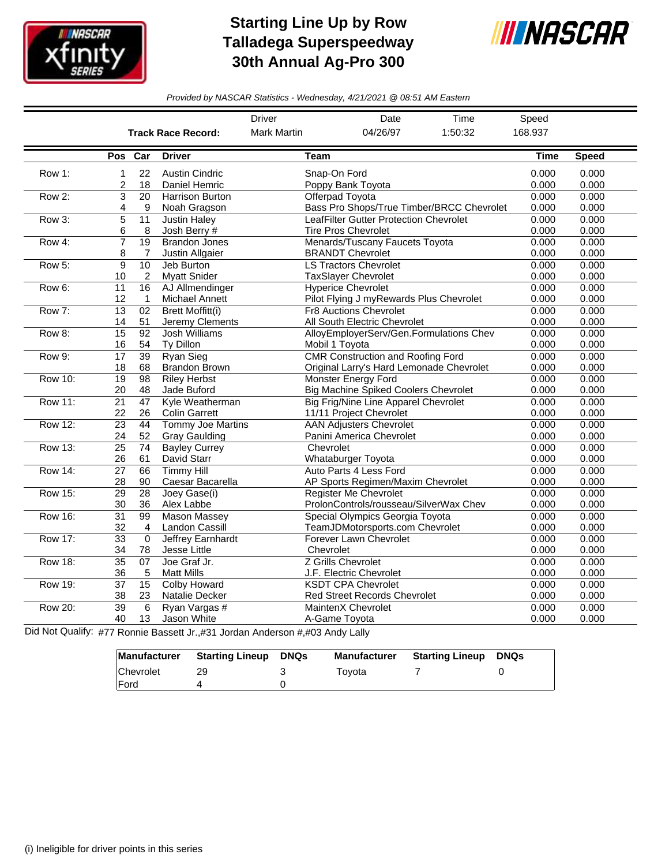

## **Starting Line Up by Row Talladega Superspeedway 30th Annual Ag-Pro 300**



*Provided by NASCAR Statistics - Wednesday, 4/21/2021 @ 08:51 AM Eastern*

|                |                           |                 |                          | <b>Driver</b>      | Date                                        | Time                                      | Speed   |              |
|----------------|---------------------------|-----------------|--------------------------|--------------------|---------------------------------------------|-------------------------------------------|---------|--------------|
|                | <b>Track Race Record:</b> |                 |                          | <b>Mark Martin</b> | 04/26/97                                    | 1:50:32                                   | 168.937 |              |
|                | Pos Car                   |                 | <b>Driver</b>            | Team               |                                             |                                           | Time    | <b>Speed</b> |
| Row 1:         | 1                         | 22              | <b>Austin Cindric</b>    | Snap-On Ford       |                                             |                                           | 0.000   | 0.000        |
|                | 2                         | 18              | Daniel Hemric            |                    | Poppy Bank Toyota                           |                                           | 0.000   | 0.000        |
| Row 2:         | 3                         | $\overline{20}$ | <b>Harrison Burton</b>   |                    | Offerpad Toyota                             |                                           | 0.000   | 0.000        |
|                | 4                         | 9               | Noah Gragson             |                    |                                             | Bass Pro Shops/True Timber/BRCC Chevrolet | 0.000   | 0.000        |
| Row 3:         | 5                         | 11              | <b>Justin Haley</b>      |                    | LeafFilter Gutter Protection Chevrolet      |                                           | 0.000   | 0.000        |
|                | 6                         | 8               | Josh Berry #             |                    | <b>Tire Pros Chevrolet</b>                  |                                           | 0.000   | 0.000        |
| Row 4:         | $\overline{7}$            | $\overline{19}$ | <b>Brandon Jones</b>     |                    | Menards/Tuscany Faucets Toyota              |                                           | 0.000   | 0.000        |
|                | 8                         | 7               | Justin Allgaier          |                    | <b>BRANDT Chevrolet</b>                     |                                           | 0.000   | 0.000        |
| Row 5:         | 9                         | 10              | Jeb Burton               |                    | <b>LS Tractors Chevrolet</b>                |                                           | 0.000   | 0.000        |
|                | 10                        | 2               | <b>Myatt Snider</b>      |                    | <b>TaxSlayer Chevrolet</b>                  |                                           | 0.000   | 0.000        |
| Row 6:         | 11                        | 16              | AJ Allmendinger          |                    | <b>Hyperice Chevrolet</b>                   |                                           | 0.000   | 0.000        |
|                | 12                        | $\mathbf{1}$    | <b>Michael Annett</b>    |                    | Pilot Flying J myRewards Plus Chevrolet     |                                           | 0.000   | 0.000        |
| Row 7:         | $\overline{13}$           | 02              | <b>Brett Moffitt(i)</b>  |                    | <b>Fr8 Auctions Chevrolet</b>               |                                           | 0.000   | 0.000        |
|                | 14                        | 51              | Jeremy Clements          |                    | All South Electric Chevrolet                |                                           | 0.000   | 0.000        |
| Row 8:         | 15                        | 92              | <b>Josh Williams</b>     |                    | AlloyEmployerServ/Gen.Formulations Chev     |                                           | 0.000   | 0.000        |
|                | 16                        | 54              | Ty Dillon                | Mobil 1 Toyota     |                                             |                                           | 0.000   | 0.000        |
| Row 9:         | 17                        | 39              | <b>Ryan Sieg</b>         |                    | <b>CMR Construction and Roofing Ford</b>    |                                           | 0.000   | 0.000        |
|                | 18                        | 68              | <b>Brandon Brown</b>     |                    | Original Larry's Hard Lemonade Chevrolet    |                                           | 0.000   | 0.000        |
| <b>Row 10:</b> | $\overline{19}$           | 98              | <b>Riley Herbst</b>      |                    | <b>Monster Energy Ford</b>                  |                                           | 0.000   | 0.000        |
|                | 20                        | 48              | Jade Buford              |                    | <b>Big Machine Spiked Coolers Chevrolet</b> |                                           | 0.000   | 0.000        |
| <b>Row 11:</b> | $\overline{21}$           | 47              | Kyle Weatherman          |                    | Big Frig/Nine Line Apparel Chevrolet        |                                           | 0.000   | 0.000        |
|                | 22                        | 26              | <b>Colin Garrett</b>     |                    | 11/11 Project Chevrolet                     |                                           | 0.000   | 0.000        |
| <b>Row 12:</b> | 23                        | 44              | <b>Tommy Joe Martins</b> |                    | <b>AAN Adjusters Chevrolet</b>              |                                           | 0.000   | 0.000        |
|                | 24                        | 52              | <b>Gray Gaulding</b>     |                    | Panini America Chevrolet                    |                                           | 0.000   | 0.000        |
| Row 13:        | $\overline{25}$           | 74              | <b>Bayley Currey</b>     | Chevrolet          |                                             |                                           | 0.000   | 0.000        |
|                | 26                        | 61              | David Starr              |                    | Whataburger Toyota                          |                                           | 0.000   | 0.000        |
| <b>Row 14:</b> | $\overline{27}$           | 66              | <b>Timmy Hill</b>        |                    | Auto Parts 4 Less Ford                      |                                           | 0.000   | 0.000        |
|                | 28                        | 90              | Caesar Bacarella         |                    | AP Sports Regimen/Maxim Chevrolet           |                                           | 0.000   | 0.000        |
| <b>Row 15:</b> | 29                        | $\overline{28}$ | Joey Gase(i)             |                    | <b>Register Me Chevrolet</b>                |                                           | 0.000   | 0.000        |
|                | 30                        | 36              | Alex Labbe               |                    | ProlonControls/rousseau/SilverWax Chev      |                                           | 0.000   | 0.000        |
| <b>Row 16:</b> | $\overline{31}$           | 99              | <b>Mason Massey</b>      |                    | Special Olympics Georgia Toyota             |                                           | 0.000   | 0.000        |
|                | 32                        | $\overline{4}$  | Landon Cassill           |                    | TeamJDMotorsports.com Chevrolet             |                                           | 0.000   | 0.000        |
| <b>Row 17:</b> | $\overline{33}$           | $\mathbf 0$     | <b>Jeffrey Earnhardt</b> |                    | Forever Lawn Chevrolet                      |                                           | 0.000   | 0.000        |
|                | 34                        | 78              | Jesse Little             | Chevrolet          |                                             |                                           | 0.000   | 0.000        |
| <b>Row 18:</b> | $\overline{35}$           | 07              | Joe Graf Jr.             |                    | Z Grills Chevrolet                          |                                           | 0.000   | 0.000        |
|                | 36                        | 5               | <b>Matt Mills</b>        |                    | J.F. Electric Chevrolet                     |                                           | 0.000   | 0.000        |
| Row 19:        | $\overline{37}$           | $\overline{15}$ | <b>Colby Howard</b>      |                    | <b>KSDT CPA Chevrolet</b>                   |                                           | 0.000   | 0.000        |
|                | 38                        | 23              | Natalie Decker           |                    | <b>Red Street Records Chevrolet</b>         |                                           | 0.000   | 0.000        |
| <b>Row 20:</b> | $\overline{39}$           | 6               | Ryan Vargas #            |                    | <b>MaintenX Chevrolet</b>                   |                                           | 0.000   | 0.000        |
|                | 40                        | 13              | Jason White              |                    | A-Game Tovota                               |                                           | 0.000   | 0.000        |

Did Not Qualify: #77 Ronnie Bassett Jr.,#31 Jordan Anderson #,#03 Andy Lally

| Manufacturer | Starting Lineup | DNQs | <b>Manufacturer</b> | <b>Starting Lineup DNQs</b> |  |
|--------------|-----------------|------|---------------------|-----------------------------|--|
| Chevrolet    | 29              |      | Tovota              |                             |  |
| <b>IFord</b> |                 |      |                     |                             |  |